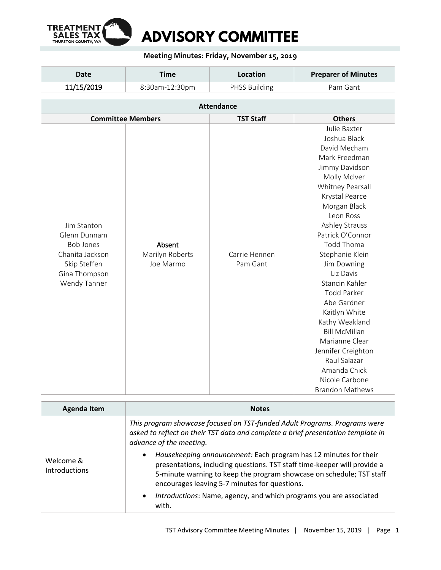

## **Meeting Minutes: Friday, November 15, 2019**

| Date       | <b>Time</b>    | Location             | <b>Preparer of Minutes</b> |
|------------|----------------|----------------------|----------------------------|
| 11/15/2019 | 8:30am-12:30pm | <b>PHSS Building</b> | Pam Gant                   |

|                                                                                                                                                               | <b>Attendance</b>         |                                                                                                                                                                                                                                                                                                                                                                                                                                                                                                                    |  |
|---------------------------------------------------------------------------------------------------------------------------------------------------------------|---------------------------|--------------------------------------------------------------------------------------------------------------------------------------------------------------------------------------------------------------------------------------------------------------------------------------------------------------------------------------------------------------------------------------------------------------------------------------------------------------------------------------------------------------------|--|
| <b>Committee Members</b>                                                                                                                                      | <b>TST Staff</b>          | <b>Others</b>                                                                                                                                                                                                                                                                                                                                                                                                                                                                                                      |  |
| Jim Stanton<br>Glenn Dunnam<br><b>Bob Jones</b><br>Absent<br>Chanita Jackson<br>Marilyn Roberts<br>Skip Steffen<br>Joe Marmo<br>Gina Thompson<br>Wendy Tanner | Carrie Hennen<br>Pam Gant | Julie Baxter<br>Joshua Black<br>David Mecham<br>Mark Freedman<br>Jimmy Davidson<br>Molly Mclver<br>Whitney Pearsall<br>Krystal Pearce<br>Morgan Black<br>Leon Ross<br>Ashley Strauss<br>Patrick O'Connor<br><b>Todd Thoma</b><br>Stephanie Klein<br>Jim Downing<br>Liz Davis<br>Stancin Kahler<br><b>Todd Parker</b><br>Abe Gardner<br>Kaitlyn White<br>Kathy Weakland<br><b>Bill McMillan</b><br>Marianne Clear<br>Jennifer Creighton<br>Raul Salazar<br>Amanda Chick<br>Nicole Carbone<br><b>Brandon Mathews</b> |  |

| <b>Agenda Item</b>                | <b>Notes</b>                                                                                                                                                                                                                                                                       |  |  |
|-----------------------------------|------------------------------------------------------------------------------------------------------------------------------------------------------------------------------------------------------------------------------------------------------------------------------------|--|--|
|                                   | This program showcase focused on TST-funded Adult Programs. Programs were<br>asked to reflect on their TST data and complete a brief presentation template in<br>advance of the meeting.                                                                                           |  |  |
| Welcome &<br><b>Introductions</b> | Housekeeping announcement: Each program has 12 minutes for their<br>$\bullet$<br>presentations, including questions. TST staff time-keeper will provide a<br>5-minute warning to keep the program showcase on schedule; TST staff<br>encourages leaving 5-7 minutes for questions. |  |  |
|                                   | Introductions: Name, agency, and which programs you are associated<br>$\bullet$<br>with.                                                                                                                                                                                           |  |  |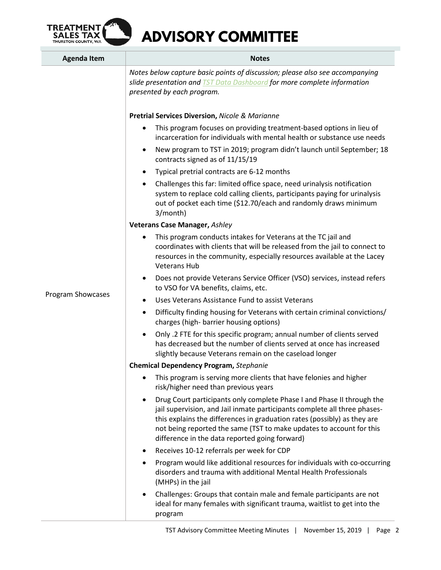

| <b>Agenda Item</b> | <b>Notes</b>                                                                                                                                                                                                                                                                                                                                                           |
|--------------------|------------------------------------------------------------------------------------------------------------------------------------------------------------------------------------------------------------------------------------------------------------------------------------------------------------------------------------------------------------------------|
|                    | Notes below capture basic points of discussion; please also see accompanying<br>slide presentation and <b>TST Data Dashboard</b> for more complete information<br>presented by each program.                                                                                                                                                                           |
|                    | <b>Pretrial Services Diversion, Nicole &amp; Marianne</b>                                                                                                                                                                                                                                                                                                              |
|                    | This program focuses on providing treatment-based options in lieu of<br>incarceration for individuals with mental health or substance use needs                                                                                                                                                                                                                        |
|                    | New program to TST in 2019; program didn't launch until September; 18<br>$\bullet$<br>contracts signed as of 11/15/19                                                                                                                                                                                                                                                  |
|                    | Typical pretrial contracts are 6-12 months<br>$\bullet$                                                                                                                                                                                                                                                                                                                |
|                    | Challenges this far: limited office space, need urinalysis notification<br>$\bullet$<br>system to replace cold calling clients, participants paying for urinalysis<br>out of pocket each time (\$12.70/each and randomly draws minimum<br>3/month)                                                                                                                     |
|                    | <b>Veterans Case Manager, Ashley</b>                                                                                                                                                                                                                                                                                                                                   |
|                    | This program conducts intakes for Veterans at the TC jail and<br>coordinates with clients that will be released from the jail to connect to<br>resources in the community, especially resources available at the Lacey<br><b>Veterans Hub</b>                                                                                                                          |
|                    | Does not provide Veterans Service Officer (VSO) services, instead refers<br>$\bullet$<br>to VSO for VA benefits, claims, etc.                                                                                                                                                                                                                                          |
| Program Showcases  | Uses Veterans Assistance Fund to assist Veterans<br>$\bullet$                                                                                                                                                                                                                                                                                                          |
|                    | Difficulty finding housing for Veterans with certain criminal convictions/<br>$\bullet$<br>charges (high- barrier housing options)                                                                                                                                                                                                                                     |
|                    | Only .2 FTE for this specific program; annual number of clients served<br>has decreased but the number of clients served at once has increased<br>slightly because Veterans remain on the caseload longer                                                                                                                                                              |
|                    | <b>Chemical Dependency Program, Stephanie</b>                                                                                                                                                                                                                                                                                                                          |
|                    | This program is serving more clients that have felonies and higher<br>risk/higher need than previous years                                                                                                                                                                                                                                                             |
|                    | Drug Court participants only complete Phase I and Phase II through the<br>$\bullet$<br>jail supervision, and Jail inmate participants complete all three phases-<br>this explains the differences in graduation rates (possibly) as they are<br>not being reported the same (TST to make updates to account for this<br>difference in the data reported going forward) |
|                    | Receives 10-12 referrals per week for CDP                                                                                                                                                                                                                                                                                                                              |
|                    | Program would like additional resources for individuals with co-occurring<br>disorders and trauma with additional Mental Health Professionals<br>(MHPs) in the jail                                                                                                                                                                                                    |
|                    | Challenges: Groups that contain male and female participants are not<br>ideal for many females with significant trauma, waitlist to get into the<br>program                                                                                                                                                                                                            |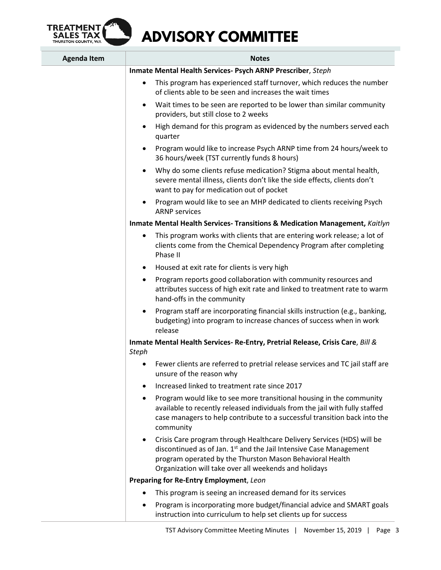

| <b>Agenda Item</b> | <b>Notes</b>                                                                                                                                                                                                                                                                               |  |
|--------------------|--------------------------------------------------------------------------------------------------------------------------------------------------------------------------------------------------------------------------------------------------------------------------------------------|--|
|                    | Inmate Mental Health Services- Psych ARNP Prescriber, Steph                                                                                                                                                                                                                                |  |
|                    | This program has experienced staff turnover, which reduces the number<br>$\bullet$<br>of clients able to be seen and increases the wait times                                                                                                                                              |  |
|                    | Wait times to be seen are reported to be lower than similar community<br>$\bullet$<br>providers, but still close to 2 weeks                                                                                                                                                                |  |
|                    | High demand for this program as evidenced by the numbers served each<br>$\bullet$<br>quarter                                                                                                                                                                                               |  |
|                    | Program would like to increase Psych ARNP time from 24 hours/week to<br>$\bullet$<br>36 hours/week (TST currently funds 8 hours)                                                                                                                                                           |  |
|                    | Why do some clients refuse medication? Stigma about mental health,<br>$\bullet$<br>severe mental illness, clients don't like the side effects, clients don't<br>want to pay for medication out of pocket                                                                                   |  |
|                    | Program would like to see an MHP dedicated to clients receiving Psych<br>$\bullet$<br><b>ARNP</b> services                                                                                                                                                                                 |  |
|                    | Inmate Mental Health Services- Transitions & Medication Management, Kaitlyn                                                                                                                                                                                                                |  |
|                    | This program works with clients that are entering work release; a lot of<br>٠<br>clients come from the Chemical Dependency Program after completing<br>Phase II                                                                                                                            |  |
|                    | Housed at exit rate for clients is very high<br>$\bullet$                                                                                                                                                                                                                                  |  |
|                    | Program reports good collaboration with community resources and<br>$\bullet$<br>attributes success of high exit rate and linked to treatment rate to warm<br>hand-offs in the community                                                                                                    |  |
|                    | Program staff are incorporating financial skills instruction (e.g., banking,<br>$\bullet$<br>budgeting) into program to increase chances of success when in work<br>release                                                                                                                |  |
|                    | Inmate Mental Health Services-Re-Entry, Pretrial Release, Crisis Care, Bill &<br><b>Steph</b>                                                                                                                                                                                              |  |
|                    | Fewer clients are referred to pretrial release services and TC jail staff are<br>٠<br>unsure of the reason why                                                                                                                                                                             |  |
|                    | Increased linked to treatment rate since 2017<br>$\bullet$                                                                                                                                                                                                                                 |  |
|                    | Program would like to see more transitional housing in the community<br>$\bullet$<br>available to recently released individuals from the jail with fully staffed<br>case managers to help contribute to a successful transition back into the<br>community                                 |  |
|                    | Crisis Care program through Healthcare Delivery Services (HDS) will be<br>$\bullet$<br>discontinued as of Jan. 1 <sup>st</sup> and the Jail Intensive Case Management<br>program operated by the Thurston Mason Behavioral Health<br>Organization will take over all weekends and holidays |  |
|                    | Preparing for Re-Entry Employment, Leon                                                                                                                                                                                                                                                    |  |
|                    | This program is seeing an increased demand for its services                                                                                                                                                                                                                                |  |
|                    | Program is incorporating more budget/financial advice and SMART goals<br>٠<br>instruction into curriculum to help set clients up for success                                                                                                                                               |  |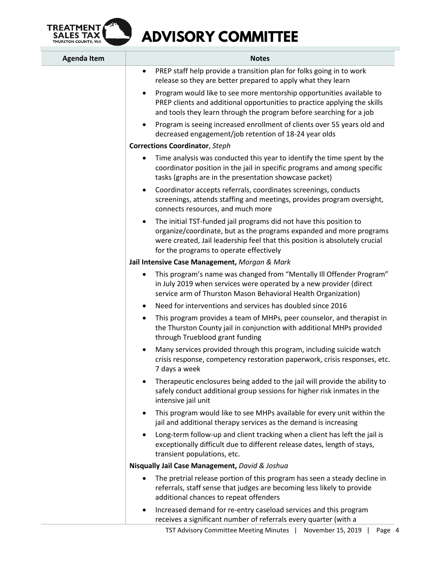

| <b>Agenda Item</b> | <b>Notes</b>                                                                                                                                                                                                                                                        |
|--------------------|---------------------------------------------------------------------------------------------------------------------------------------------------------------------------------------------------------------------------------------------------------------------|
|                    | PREP staff help provide a transition plan for folks going in to work<br>$\bullet$<br>release so they are better prepared to apply what they learn                                                                                                                   |
|                    | Program would like to see more mentorship opportunities available to<br>$\bullet$<br>PREP clients and additional opportunities to practice applying the skills<br>and tools they learn through the program before searching for a job                               |
|                    | Program is seeing increased enrollment of clients over 55 years old and<br>$\bullet$<br>decreased engagement/job retention of 18-24 year olds                                                                                                                       |
|                    | <b>Corrections Coordinator</b> , Steph                                                                                                                                                                                                                              |
|                    | Time analysis was conducted this year to identify the time spent by the<br>٠<br>coordinator position in the jail in specific programs and among specific<br>tasks (graphs are in the presentation showcase packet)                                                  |
|                    | Coordinator accepts referrals, coordinates screenings, conducts<br>$\bullet$<br>screenings, attends staffing and meetings, provides program oversight,<br>connects resources, and much more                                                                         |
|                    | The initial TST-funded jail programs did not have this position to<br>organize/coordinate, but as the programs expanded and more programs<br>were created, Jail leadership feel that this position is absolutely crucial<br>for the programs to operate effectively |
|                    | Jail Intensive Case Management, Morgan & Mark                                                                                                                                                                                                                       |
|                    | This program's name was changed from "Mentally III Offender Program"<br>$\bullet$<br>in July 2019 when services were operated by a new provider (direct<br>service arm of Thurston Mason Behavioral Health Organization)                                            |
|                    | Need for interventions and services has doubled since 2016<br>$\bullet$                                                                                                                                                                                             |
|                    | This program provides a team of MHPs, peer counselor, and therapist in<br>$\bullet$<br>the Thurston County jail in conjunction with additional MHPs provided<br>through Trueblood grant funding                                                                     |
|                    | Many services provided through this program, including suicide watch<br>$\bullet$<br>crisis response, competency restoration paperwork, crisis responses, etc.<br>7 days a week                                                                                     |
|                    | Therapeutic enclosures being added to the jail will provide the ability to<br>$\bullet$<br>safely conduct additional group sessions for higher risk inmates in the<br>intensive jail unit                                                                           |
|                    | This program would like to see MHPs available for every unit within the<br>$\bullet$<br>jail and additional therapy services as the demand is increasing                                                                                                            |
|                    | Long-term follow-up and client tracking when a client has left the jail is<br>$\bullet$<br>exceptionally difficult due to different release dates, length of stays,<br>transient populations, etc.                                                                  |
|                    | Nisqually Jail Case Management, David & Joshua                                                                                                                                                                                                                      |
|                    | The pretrial release portion of this program has seen a steady decline in<br>$\bullet$<br>referrals, staff sense that judges are becoming less likely to provide<br>additional chances to repeat offenders                                                          |
|                    | Increased demand for re-entry caseload services and this program<br>٠<br>receives a significant number of referrals every quarter (with a                                                                                                                           |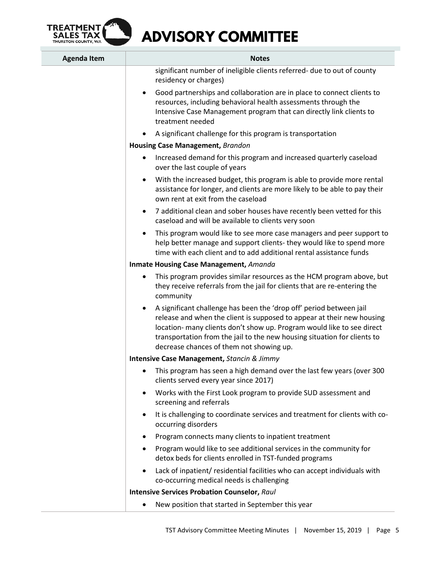

| <b>Agenda Item</b> | <b>Notes</b>                                                                                                                                                                                                                                                                                                                                                 |  |
|--------------------|--------------------------------------------------------------------------------------------------------------------------------------------------------------------------------------------------------------------------------------------------------------------------------------------------------------------------------------------------------------|--|
|                    | significant number of ineligible clients referred- due to out of county<br>residency or charges)                                                                                                                                                                                                                                                             |  |
|                    | Good partnerships and collaboration are in place to connect clients to<br>$\bullet$<br>resources, including behavioral health assessments through the<br>Intensive Case Management program that can directly link clients to<br>treatment needed                                                                                                             |  |
|                    | A significant challenge for this program is transportation                                                                                                                                                                                                                                                                                                   |  |
|                    | <b>Housing Case Management, Brandon</b>                                                                                                                                                                                                                                                                                                                      |  |
|                    | Increased demand for this program and increased quarterly caseload<br>$\bullet$<br>over the last couple of years                                                                                                                                                                                                                                             |  |
|                    | With the increased budget, this program is able to provide more rental<br>assistance for longer, and clients are more likely to be able to pay their<br>own rent at exit from the caseload                                                                                                                                                                   |  |
|                    | 7 additional clean and sober houses have recently been vetted for this<br>$\bullet$<br>caseload and will be available to clients very soon                                                                                                                                                                                                                   |  |
|                    | This program would like to see more case managers and peer support to<br>help better manage and support clients- they would like to spend more<br>time with each client and to add additional rental assistance funds                                                                                                                                        |  |
|                    | <b>Inmate Housing Case Management, Amanda</b>                                                                                                                                                                                                                                                                                                                |  |
|                    | This program provides similar resources as the HCM program above, but<br>they receive referrals from the jail for clients that are re-entering the<br>community                                                                                                                                                                                              |  |
|                    | A significant challenge has been the 'drop off' period between jail<br>$\bullet$<br>release and when the client is supposed to appear at their new housing<br>location- many clients don't show up. Program would like to see direct<br>transportation from the jail to the new housing situation for clients to<br>decrease chances of them not showing up. |  |
|                    | <b>Intensive Case Management, Stancin &amp; Jimmy</b>                                                                                                                                                                                                                                                                                                        |  |
|                    | This program has seen a high demand over the last few years (over 300<br>clients served every year since 2017)                                                                                                                                                                                                                                               |  |
|                    | Works with the First Look program to provide SUD assessment and<br>$\bullet$<br>screening and referrals                                                                                                                                                                                                                                                      |  |
|                    | It is challenging to coordinate services and treatment for clients with co-<br>occurring disorders                                                                                                                                                                                                                                                           |  |
|                    | Program connects many clients to inpatient treatment                                                                                                                                                                                                                                                                                                         |  |
|                    | Program would like to see additional services in the community for<br>detox beds for clients enrolled in TST-funded programs                                                                                                                                                                                                                                 |  |
|                    | Lack of inpatient/residential facilities who can accept individuals with<br>co-occurring medical needs is challenging                                                                                                                                                                                                                                        |  |
|                    | <b>Intensive Services Probation Counselor, Raul</b>                                                                                                                                                                                                                                                                                                          |  |
|                    | New position that started in September this year                                                                                                                                                                                                                                                                                                             |  |